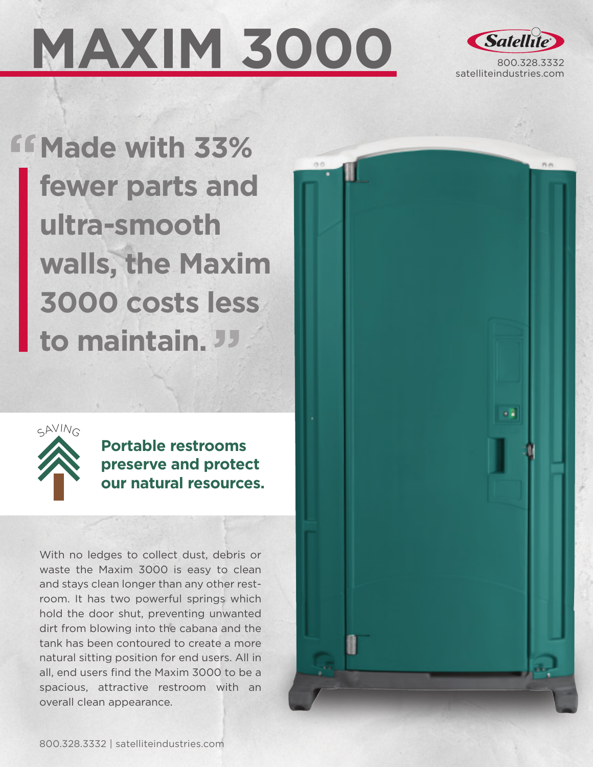# **MAXIM 3000**



**Made with 33% fewer parts and ultra-smooth walls, the Maxim 3000 costs less to maintain.**



**Portable restrooms preserve and protect our natural resources.**

With no ledges to collect dust, debris or waste the Maxim 3000 is easy to clean and stays clean longer than any other restroom. It has two powerful springs which hold the door shut, preventing unwanted dirt from blowing into the cabana and the tank has been contoured to create a more natural sitting position for end users. All in all, end users find the Maxim 3000 to be a spacious, attractive restroom with an overall clean appearance.